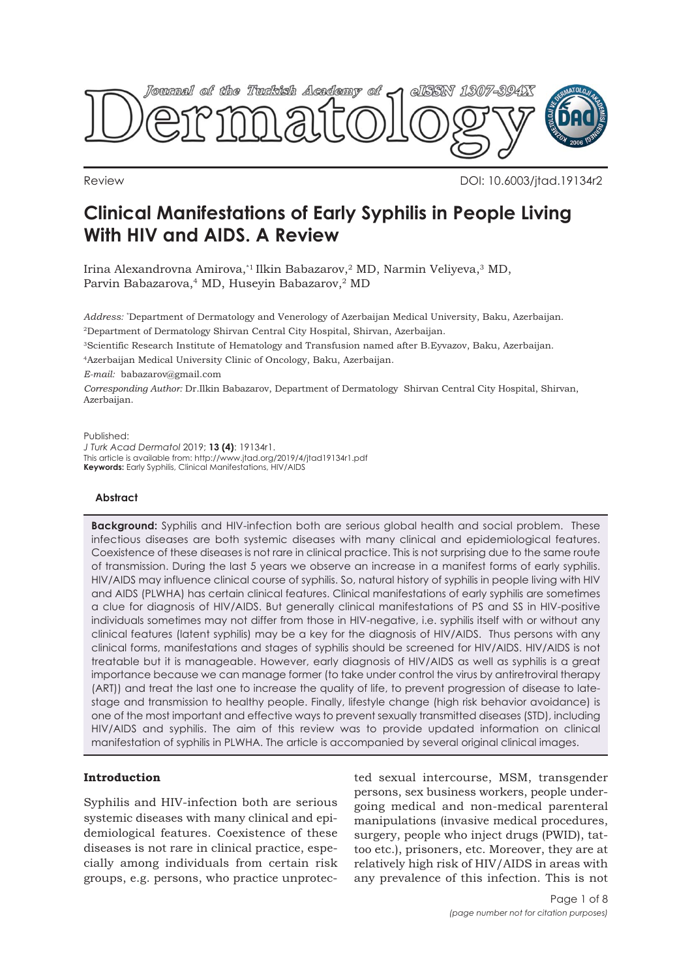

Review DOI: 10.6003/jtad.19134r2

# **Clinical Manifestations of Early Syphilis in People Living With HIV and AIDS. A Review**

Irina Alexandrovna Amirova,\*1 Ilkin Babazarov,2 MD, Narmin Veliyeva,3 MD, Parvin Babazarova,4 MD, Huseyin Babazarov,2 MD

*Address:* \* Department of Dermatology and Venerology of Azerbaijan Medical University, Baku, Azerbaijan. 2Department of Dermatology Shirvan Central City Hospital, Shirvan, Azerbaijan.

3Scientific Research Institute of Hematology and Transfusion named after B.Eyvazov, Baku, Azerbaijan.

4Azerbaijan Medical University Clinic of Oncology, Baku, Azerbaijan.

*E-mail:* babazarov@gmail.com

*Corresponding Author:* Dr.Ilkin Babazarov, Department of Dermatology Shirvan Central City Hospital, Shirvan, Azerbaijan.

Published: *J Turk Acad Dermatol* 2019; **13 (4)**: 19134r1. This article is available from: http://www.jtad.org/2019/4/jtad19134r1.pdf **Keywords:** Early Syphilis, Clinical Manifestations, HIV/AIDS

# **Abstract**

**Background:** Syphilis and HIV-infection both are serious global health and social problem. These infectious diseases are both systemic diseases with many clinical and epidemiological features. Coexistence of these diseases is not rare in clinical practice. This is not surprising due to the same route of transmission. During the last 5 years we observe an increase in a manifest forms of early syphilis. HIV/AIDS may influence clinical course of syphilis. So, natural history of syphilis in people living with HIV and AIDS (PLWHA) has certain clinical features. Clinical manifestations of early syphilis are sometimes a clue for diagnosis of HIV/AIDS. But generally clinical manifestations of PS and SS in HIV-positive individuals sometimes may not differ from those in HIV-negative, i.e. syphilis itself with or without any clinical features (latent syphilis) may be a key for the diagnosis of HIV/AIDS. Thus persons with any clinical forms, manifestations and stages of syphilis should be screened for HIV/AIDS. HIV/AIDS is not treatable but it is manageable. However, early diagnosis of HIV/AIDS as well as syphilis is a great importance because we can manage former (to take under control the virus by antiretroviral therapy (ART)) and treat the last one to increase the quality of life, to prevent progression of disease to latestage and transmission to healthy people. Finally, lifestyle change (high risk behavior avoidance) is one of the most important and effective ways to prevent sexually transmitted diseases (STD), including HIV/AIDS and syphilis. The aim of this review was to provide updated information on clinical manifestation of syphilis in PLWHA. The article is accompanied by several original clinical images.

# **Introduction**

Syphilis and HIV-infection both are serious systemic diseases with many clinical and epidemiological features. Coexistence of these diseases is not rare in clinical practice, especially among individuals from certain risk groups, e.g. persons, who practice unprotected sexual intercourse, MSM, transgender persons, sex business workers, people undergoing medical and non-medical parenteral manipulations (invasive medical procedures, surgery, people who inject drugs (PWID), tattoo etc.), prisoners, etc. Moreover, they are at relatively high risk of HIV/AIDS in areas with any prevalence of this infection. This is not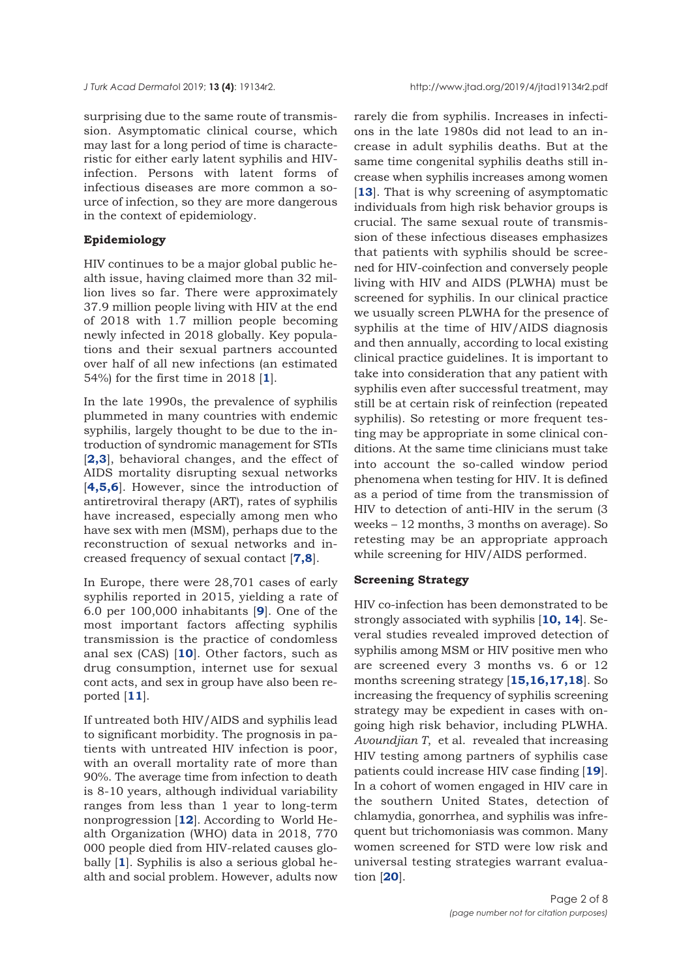surprising due to the same route of transmission. Asymptomatic clinical course, which may last for a long period of time is characteristic for either early latent syphilis and HIVinfection. Persons with latent forms of infectious diseases are more common a source of infection, so they are more dangerous in the context of epidemiology.

## **Epidemiology**

HIV continues to be a major global public health issue, having claimed more than 32 million lives so far. There were approximately 37.9 million people living with HIV at the end of 2018 with 1.7 million people becoming newly infected in 2018 globally. Key populations and their sexual partners accounted over half of all new infections (an estimated 54%) for the first time in 2018 [**[1](#page-5-0)**].

In the late 1990s, the prevalence of syphilis plummeted in many countries with endemic syphilis, largely thought to be due to the introduction of syndromic management for STIs [**[2,3](#page-5-0)**], behavioral changes, and the effect of AIDS mortality disrupting sexual networks [**[4,5,6](#page-5-0)**]. However, since the introduction of antiretroviral therapy (ART), rates of syphilis have increased, especially among men who have sex with men (MSM), perhaps due to the reconstruction of sexual networks and increased frequency of sexual contact [**[7,8](#page-5-0)**].

In Europe, there were 28,701 cases of early syphilis reported in 2015, yielding a rate of 6.0 per 100,000 inhabitants [**[9](#page-6-0)**]. One of the most important factors affecting syphilis transmission is the practice of condomless anal sex (CAS) [**[10](#page-6-0)**]. Other factors, such as drug consumption, internet use for sexual cont acts, and sex in group have also been reported [**[11](#page-6-0)**].

If untreated both HIV/AIDS and syphilis lead to significant morbidity. The prognosis in patients with untreated HIV infection is poor, with an overall mortality rate of more than 90%. The average time from infection to death is 8-10 years, although individual variability ranges from less than 1 year to long-term nonprogression [**[12](#page-6-0)**]. According to World Health Organization (WHO) data in 2018, 770 000 people died from HIV-related causes globally [**[1](#page-5-0)**]. Syphilis is also a serious global health and social problem. However, adults now

rarely die from syphilis. Increases in infections in the late 1980s did not lead to an increase in adult syphilis deaths. But at the same time congenital syphilis deaths still increase when syphilis increases among women [[13](#page-6-0)]. That is why screening of asymptomatic individuals from high risk behavior groups is crucial. The same sexual route of transmission of these infectious diseases emphasizes that patients with syphilis should be screened for HIV-coinfection and conversely people living with HIV and AIDS (PLWHA) must be screened for syphilis. In our clinical practice we usually screen PLWHA for the presence of syphilis at the time of HIV/AIDS diagnosis and then annually, according to local existing clinical practice guidelines. It is important to take into consideration that any patient with syphilis even after successful treatment, may still be at certain risk of reinfection (repeated syphilis). So retesting or more frequent testing may be appropriate in some clinical conditions. At the same time clinicians must take into account the so-called window period phenomena when testing for HIV. It is defined as a period of time from the transmission of HIV to detection of anti-HIV in the serum (3 weeks – 12 months, 3 months on average). So retesting may be an appropriate approach while screening for HIV/AIDS performed.

## **Screening Strategy**

HIV co-infection has been demonstrated to be strongly associated with syphilis [**[10](#page-6-0), [14](#page-6-0)**]. Several studies revealed improved detection of syphilis among MSM or HIV positive men who are screened every 3 months vs. 6 or 12 months screening strategy [**[15,16,17,18](#page-6-0)**]. So increasing the frequency of syphilis screening strategy may be expedient in cases with ongoing high risk behavior, including PLWHA. *Avoundjian T*, et al. revealed that increasing HIV testing among partners of syphilis case patients could increase HIV case finding [**[19](#page-6-0)**]. In a cohort of women engaged in HIV care in the southern United States, detection of chlamydia, gonorrhea, and syphilis was infrequent but trichomoniasis was common. Many women screened for STD were low risk and universal testing strategies warrant evaluation [**[20](#page-6-0)**].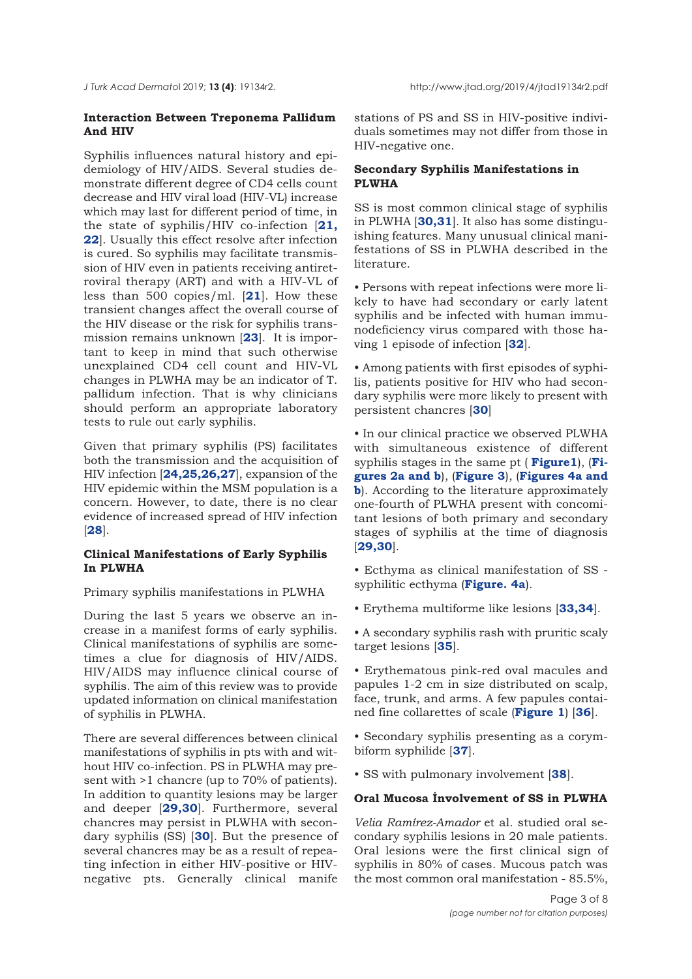# **Interaction Between Treponema Pallidum And HIV**

Syphilis influences natural history and epidemiology of HIV/AIDS. Several studies demonstrate different degree of CD4 cells count decrease and HIV viral load (HIV-VL) increase which may last for different period of time, in the state of syphilis/HIV co-infection [**21, 22**[\]. Usually this effect resolve after infection](#page-6-0) is cured. So syphilis may facilitate transmission of HIV even in patients receiving antiretroviral therapy (ART) and with a HIV-VL of less than 500 copies/ml. [**[21](#page-6-0)**]. How these transient changes affect the overall course of the HIV disease or the risk for syphilis transmission remains unknown [**[23](#page-6-0)**]. It is important to keep in mind that such otherwise unexplained CD4 cell count and HIV-VL changes in PLWHA may be an indicator of T. pallidum infection. That is why clinicians should perform an appropriate laboratory tests to rule out early syphilis.

Given that primary syphilis (PS) facilitates both the transmission and the acquisition of HIV infection [**[24,25,26,27](#page-6-0)**], expansion of the HIV epidemic within the MSM population is a concern. However, to date, there is no clear evidence of increased spread of HIV infection [**[28](#page-6-0)**].

# **Clinical Manifestations of Early Syphilis In PLWHA**

Primary syphilis manifestations in PLWHA

During the last 5 years we observe an increase in a manifest forms of early syphilis. Clinical manifestations of syphilis are sometimes a clue for diagnosis of HIV/AIDS. HIV/AIDS may influence clinical course of syphilis. The aim of this review was to provide updated information on clinical manifestation of syphilis in PLWHA.

There are several differences between clinical manifestations of syphilis in pts with and without HIV co-infection. PS in PLWHA may present with >1 chancre (up to 70% of patients). In addition to quantity lesions may be larger and deeper [**[29,30](#page-6-0)**]. Furthermore, several chancres may persist in PLWHA with secondary syphilis (SS) [**[30](#page-6-0)**]. But the presence of several chancres may be as a result of repeating infection in either HIV-positive or HIVnegative pts. Generally clinical manife

stations of PS and SS in HIV-positive individuals sometimes may not differ from those in HIV-negative one.

# **Secondary Syphilis Manifestations in PLWHA**

SS is most common clinical stage of syphilis in PLWHA [**[30,31](#page-6-0)**]. It also has some distinguishing features. Many unusual clinical manifestations of SS in PLWHA described in the literature.

• Persons with repeat infections were more likely to have had secondary or early latent syphilis and be infected with human immunodeficiency virus compared with those having 1 episode of infection [**[32](#page-6-0)**].

• Among patients with first episodes of syphilis, patients positive for HIV who had secondary syphilis were more likely to present with persistent chancres [**30**]

• In our clinical practice we observed PLWHA with simultaneous existence of different syphilis stages in the same pt ( **[Figure1](#page-3-0)**), (**Figur[es 2a and b](#page-3-0)**), (**[Figure 3](#page-4-0)**), (**[Figures 4a and](#page-4-0) b**). According to the literature approximately one-fourth of PLWHA present with concomitant lesions of both primary and secondary stages of syphilis at the time of diagnosis [**[29,30](#page-6-0)**].

• Ecthyma as clinical manifestation of SS syphilitic ecthyma (**Fi[gure. 4a](#page-4-0)**).

• Erythema multiforme like lesions [**[33,34](#page-6-0)**].

• A secondary syphilis rash with pruritic scaly target lesions [**[35](#page-6-0)**].

• Erythematous pink-red oval macules and papules 1-2 cm in size distributed on scalp, face, trunk, and arms. A few papules contained fine collarettes of scale (**[Figure 1](#page-3-0)**) [**[36](#page-7-0)**].

• Secondary syphilis presenting as a corymbiform syphilide [**[37](#page-7-0)**].

• SS with pulmonary involvement [**[38](#page-7-0)**].

# **Oral Mucosa İnvolvement of SS in PLWHA**

*Velia Ramírez-Amador* et al. studied oral secondary syphilis lesions in 20 male patients. Oral lesions were the first clinical sign of syphilis in 80% of cases. Mucous patch was the most common oral manifestation - 85.5%,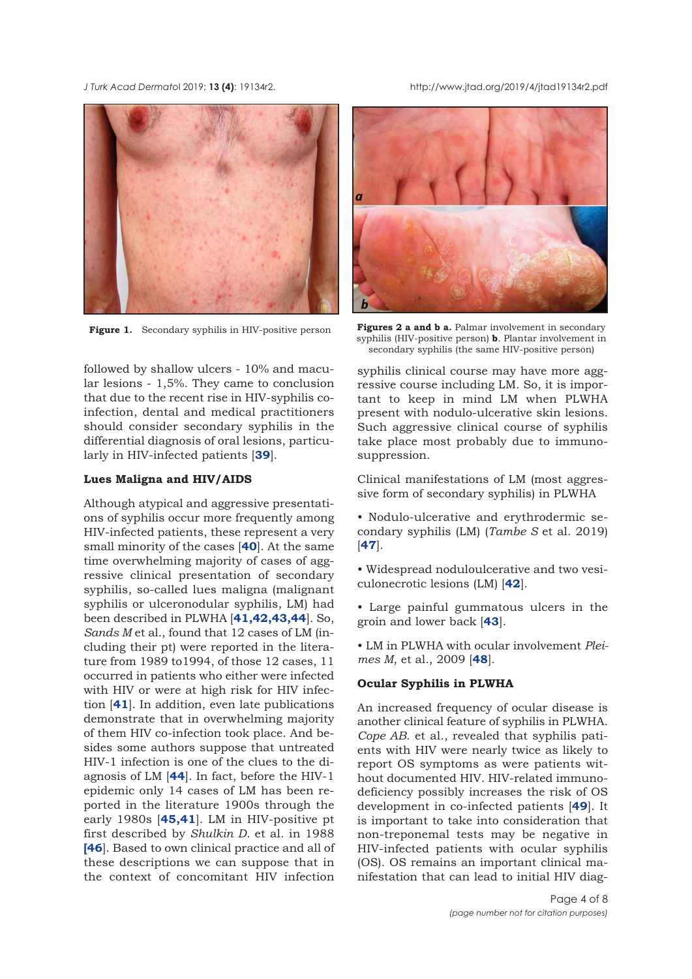followed by shallow ulcers - 10% and macular lesions - 1,5%. They came to conclusion that due to the recent rise in HIV-syphilis coinfection, dental and medical practitioners should consider secondary syphilis in the differential diagnosis of oral lesions, particularly in HIV-infected patients [**[39](#page-7-0)**].

# **Lues Maligna and HIV/AIDS**

Although atypical and aggressive presentations of syphilis occur more frequently among HIV-infected patients, these represent a very small minority of the cases [**[40](#page-7-0)**]. At the same time overwhelming majority of cases of aggressive clinical presentation of secondary syphilis, so-called lues maligna (malignant syphilis or ulceronodular syphilis, LM) had been described in PLWHA [**[41,42,43,44](#page-7-0)**]. So, *Sands M* et al., found that 12 cases of LM (including their pt) were reported in the literature from 1989 to1994, of those 12 cases, 11 occurred in patients who either were infected with HIV or were at high risk for HIV infection [**[41](#page-7-0)**]. In addition, even late publications demonstrate that in overwhelming majority of them HIV co-infection took place. And besides some authors suppose that untreated HIV-1 infection is one of the clues to the diagnosis of LM [**[44](#page-7-0)**]. In fact, before the HIV-1 epidemic only 14 cases of LM has been reported in the literature 1900s through the early 1980s [**[45,41](#page-7-0)**]. LM in HIV-positive pt first described by *Shulkin D.* et al. in 1988 **[[46](#page-7-0)**]. Based to own clinical practice and all of these descriptions we can suppose that in the context of concomitant HIV infection

Figure 1. Secondary syphilis in HIV-positive person **Figures 2 a and b a.** Palmar involvement in secondary syphilis (HIV-positive person) **b**. Plantar involvement in secondary syphilis (the same HIV-positive person)

syphilis clinical course may have more aggressive course including LM. So, it is important to keep in mind LM when PLWHA present with nodulo-ulcerative skin lesions. Such aggressive clinical course of syphilis take place most probably due to immunosuppression.

Clinical manifestations of LM (most aggressive form of secondary syphilis) in PLWHA

• Nodulo-ulcerative and erythrodermic secondary syphilis (LM) (*Tambe S* et al. 2019) [**[47](#page-7-0)**].

• Widespread noduloulcerative and two vesiculonecrotic lesions (LM) [**[42](#page-7-0)**].

• Large painful gummatous ulcers in the groin and lower back [**[43](#page-7-0)**].

• LM in PLWHA with ocular involvement *Pleimes M*, et al., 2009 [**[48](#page-7-0)**].

# **Ocular Syphilis in PLWHA**

An increased frequency of ocular disease is another clinical feature of syphilis in PLWHA. *Cope AB*. et al., revealed that syphilis patients with HIV were nearly twice as likely to report OS symptoms as were patients without documented HIV. HIV-related immunodeficiency possibly increases the risk of OS development in co-infected patients [**[49](#page-7-0)**]. It is important to take into consideration that non-treponemal tests may be negative in HIV-infected patients with ocular syphilis (OS). OS remains an important clinical manifestation that can lead to initial HIV diag-

<span id="page-3-0"></span>*J Turk Acad Dermato*l 2019; **13 (4)**: 19134r2. http://www.jtad.org/2019/4/jtad19134r2.pdf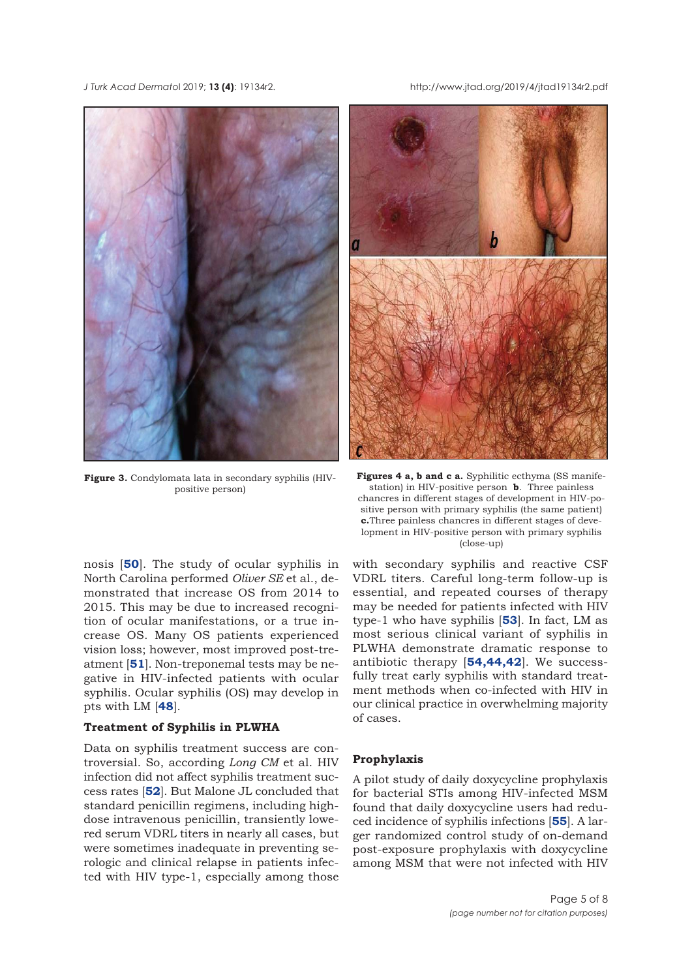<span id="page-4-0"></span>*J Turk Acad Dermato*l 2019; **13 (4)**: 19134r2. http://www.jtad.org/2019/4/jtad19134r2.pdf



**Figure 3.** Condylomata lata in secondary syphilis (HIVpositive person)

nosis [**[50](#page-7-0)**]. The study of ocular syphilis in North Carolina performed *Oliver SE* et al., demonstrated that increase OS from 2014 to 2015. This may be due to increased recognition of ocular manifestations, or a true increase OS. Many OS patients experienced vision loss; however, most improved post-treatment [**[51](#page-7-0)**]. Non-treponemal tests may be negative in HIV-infected patients with ocular syphilis. Ocular syphilis (OS) may develop in pts with LM [**[48](#page-7-0)**].

#### **Treatment of Syphilis in PLWHA**

Data on syphilis treatment success are controversial. So, according *Long CM* et al. HIV infection did not affect syphilis treatment success rates [**[52](#page-7-0)**]. But Malone JL concluded that standard penicillin regimens, including highdose intravenous penicillin, transiently lowered serum VDRL titers in nearly all cases, but were sometimes inadequate in preventing serologic and clinical relapse in patients infected with HIV type-1, especially among those



Figures 4 a, b and c a. Syphilitic ecthyma (SS manifestation) in HIV-positive person **b**. Three painless chancres in different stages of development in HIV-positive person with primary syphilis (the same patient) **c.**Three painless chancres in different stages of development in HIV-positive person with primary syphilis (close-up)

with secondary syphilis and reactive CSF VDRL titers. Careful long-term follow-up is essential, and repeated courses of therapy may be needed for patients infected with HIV type-1 who have syphilis [**[53](#page-7-0)**]. In fact, LM as most serious clinical variant of syphilis in PLWHA demonstrate dramatic response to antibiotic therapy [**[54](#page-7-0),[44](#page-7-0),[42](#page-7-0)**]. We successfully treat early syphilis with standard treatment methods when co-infected with HIV in our clinical practice in overwhelming majority of cases.

### **Prophylaxis**

A pilot study of daily doxycycline prophylaxis for bacterial STIs among HIV-infected MSM found that daily doxycycline users had reduced incidence of syphilis infections [**[55](#page-7-0)**]. A larger randomized control study of on-demand post-exposure prophylaxis with doxycycline among MSM that were not infected with HIV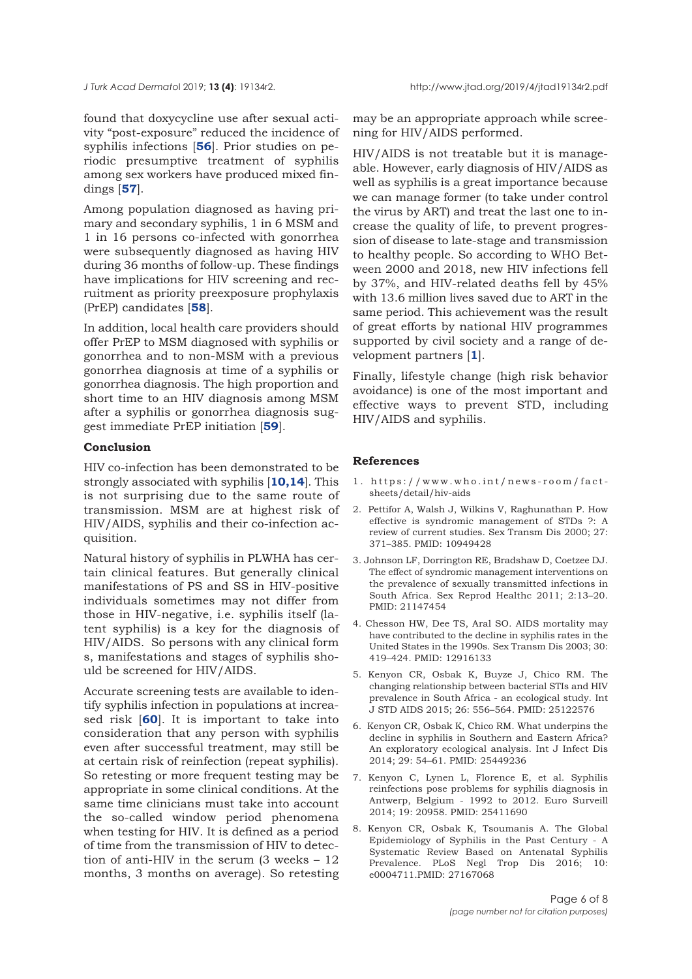<span id="page-5-0"></span>*J Turk Acad Dermato*l 2019; **13 (4)**: 19134r2. http://www.jtad.org/2019/4/jtad19134r2.pdf

found that doxycycline use after sexual activity "post-exposure" reduced the incidence of syphilis infections [**[56](#page-7-0)**]. Prior studies on periodic presumptive treatment of syphilis among sex workers have produced mixed findings [**[57](#page-7-0)**].

Among population diagnosed as having primary and secondary syphilis, 1 in 6 MSM and 1 in 16 persons co-infected with gonorrhea were subsequently diagnosed as having HIV during 36 months of follow-up. These findings have implications for HIV screening and recruitment as priority preexposure prophylaxis (PrEP) candidates [**[58](#page-7-0)**].

In addition, local health care providers should offer PrEP to MSM diagnosed with syphilis or gonorrhea and to non-MSM with a previous gonorrhea diagnosis at time of a syphilis or gonorrhea diagnosis. The high proportion and short time to an HIV diagnosis among MSM after a syphilis or gonorrhea diagnosis suggest immediate PrEP initiation [**[59](#page-7-0)**].

### **Conclusion**

HIV co-infection has been demonstrated to be strongly associated with syphilis [**[10,14](#page-6-0)**]. This is not surprising due to the same route of transmission. MSM are at highest risk of HIV/AIDS, syphilis and their co-infection acquisition.

Natural history of syphilis in PLWHA has certain clinical features. But generally clinical manifestations of PS and SS in HIV-positive individuals sometimes may not differ from those in HIV-negative, i.e. syphilis itself (latent syphilis) is a key for the diagnosis of HIV/AIDS. So persons with any clinical form s, manifestations and stages of syphilis should be screened for HIV/AIDS.

Accurate screening tests are available to identify syphilis infection in populations at increased risk [**[60](#page-7-0)**]. It is important to take into consideration that any person with syphilis even after successful treatment, may still be at certain risk of reinfection (repeat syphilis). So retesting or more frequent testing may be appropriate in some clinical conditions. At the same time clinicians must take into account the so-called window period phenomena when testing for HIV. It is defined as a period of time from the transmission of HIV to detection of anti-HIV in the serum (3 weeks – 12 months, 3 months on average). So retesting may be an appropriate approach while screening for HIV/AIDS performed.

HIV/AIDS is not treatable but it is manageable. However, early diagnosis of HIV/AIDS as well as syphilis is a great importance because we can manage former (to take under control the virus by ART) and treat the last one to increase the quality of life, to prevent progression of disease to late-stage and transmission to healthy people. So according to WHO Between 2000 and 2018, new HIV infections fell by 37%, and HIV-related deaths fell by 45% with 13.6 million lives saved due to ART in the same period. This achievement was the result of great efforts by national HIV programmes supported by civil society and a range of development partners [**1**].

Finally, lifestyle change (high risk behavior avoidance) is one of the most important and effective ways to prevent STD, including HIV/AIDS and syphilis.

#### **References**

- 1. https://www.who.int/news-room/factsheets/detail/hiv-aids
- 2. Pettifor A, Walsh J, Wilkins V, Raghunathan P. How effective is syndromic management of STDs ?: A review of current studies. Sex Transm Dis 2000; 27: 371–385. PMID: 10949428
- 3. Johnson LF, Dorrington RE, Bradshaw D, Coetzee DJ. The effect of syndromic management interventions on the prevalence of sexually transmitted infections in South Africa. Sex Reprod Healthc 2011; 2:13–20. PMID: 21147454
- 4. Chesson HW, Dee TS, Aral SO. AIDS mortality may have contributed to the decline in syphilis rates in the United States in the 1990s. Sex Transm Dis 2003; 30: 419–424. PMID: 12916133
- 5. Kenyon CR, Osbak K, Buyze J, Chico RM. The changing relationship between bacterial STIs and HIV prevalence in South Africa - an ecological study. Int J STD AIDS 2015; 26: 556–564. PMID: 25122576
- 6. Kenyon CR, Osbak K, Chico RM. What underpins the decline in syphilis in Southern and Eastern Africa? An exploratory ecological analysis. Int J Infect Dis 2014; 29: 54–61. PMID: 25449236
- 7. Kenyon C, Lynen L, Florence E, et al. Syphilis reinfections pose problems for syphilis diagnosis in Antwerp, Belgium - 1992 to 2012. Euro Surveill 2014; 19: 20958. PMID: 25411690
- 8. Kenyon CR, Osbak K, Tsoumanis A. The Global Epidemiology of Syphilis in the Past Century - A Systematic Review Based on Antenatal Syphilis Prevalence. PLoS Negl Trop Dis 2016; 10: e0004711.PMID: 27167068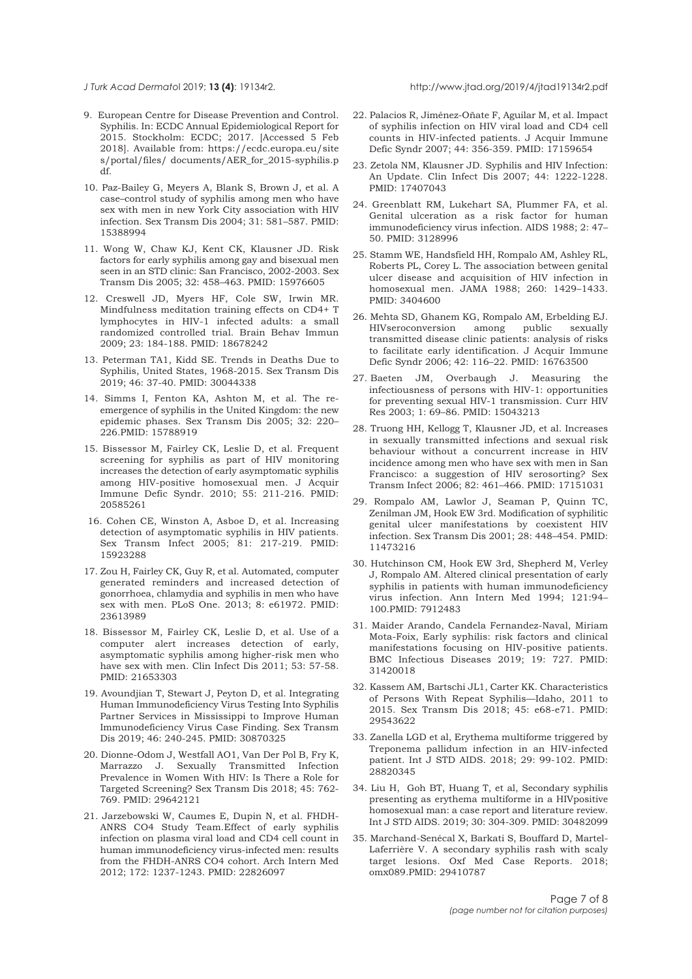#### <span id="page-6-0"></span>*J Turk Acad Dermato*l 2019; **13 (4)**: 19134r2. http://www.jtad.org/2019/4/jtad19134r2.pdf

- 9. European Centre for Disease Prevention and Control. Syphilis. In: ECDC Annual Epidemiological Report for 2015. Stockholm: ECDC; 2017. [Accessed 5 Feb 2018]. Available from: https://ecdc.europa.eu/site s/portal/files/ documents/AER\_for\_2015-syphilis.p df.
- 10. Paz-Bailey G, Meyers A, Blank S, Brown J, et al. A case–control study of syphilis among men who have sex with men in new York City association with HIV infection. Sex Transm Dis 2004; 31: 581–587. PMID: 15388994
- 11. Wong W, Chaw KJ, Kent CK, Klausner JD. Risk factors for early syphilis among gay and bisexual men seen in an STD clinic: San Francisco, 2002-2003. Sex Transm Dis 2005; 32: 458–463. PMID: 15976605
- 12. Creswell JD, Myers HF, Cole SW, Irwin MR. Mindfulness meditation training effects on CD4+ T lymphocytes in HIV-1 infected adults: a small randomized controlled trial. Brain Behav Immun 2009; 23: 184-188. PMID: 18678242
- 13. Peterman TA1, Kidd SE. Trends in Deaths Due to Syphilis, United States, 1968-2015. Sex Transm Dis 2019; 46: 37-40. PMID: 30044338
- 14. Simms I, Fenton KA, Ashton M, et al. The reemergence of syphilis in the United Kingdom: the new epidemic phases. Sex Transm Dis 2005; 32: 220– 226.PMID: 15788919
- 15. Bissessor M, Fairley CK, Leslie D, et al. Frequent screening for syphilis as part of HIV monitoring increases the detection of early asymptomatic syphilis among HIV-positive homosexual men. J Acquir Immune Defic Syndr. 2010; 55: 211-216. PMID: 20585261
- 16. Cohen CE, Winston A, Asboe D, et al. Increasing detection of asymptomatic syphilis in HIV patients. Sex Transm Infect 2005; 81: 217-219. PMID: 15923288
- 17. Zou H, Fairley CK, Guy R, et al. Automated, computer generated reminders and increased detection of gonorrhoea, chlamydia and syphilis in men who have sex with men. PLoS One. 2013; 8: e61972. PMID: 23613989
- 18. Bissessor M, Fairley CK, Leslie D, et al. Use of a computer alert increases detection of early, asymptomatic syphilis among higher-risk men who have sex with men. Clin Infect Dis 2011; 53: 57-58. PMID: 21653303
- 19. Avoundjian T, Stewart J, Peyton D, et al. Integrating Human Immunodeficiency Virus Testing Into Syphilis Partner Services in Mississippi to Improve Human Immunodeficiency Virus Case Finding. Sex Transm Dis 2019; 46: 240-245. PMID: 30870325
- 20. Dionne-Odom J, Westfall AO1, Van Der Pol B, Fry K, Marrazzo J. Sexually Transmitted Infection Prevalence in Women With HIV: Is There a Role for Targeted Screening? Sex Transm Dis 2018; 45: 762- 769. PMID: 29642121
- 21. Jarzebowski W, Caumes E, Dupin N, et al. FHDH-ANRS CO4 Study Team.Effect of early syphilis infection on plasma viral load and CD4 cell count in human immunodeficiency virus-infected men: results from the FHDH-ANRS CO4 cohort. Arch Intern Med 2012; 172: 1237-1243. PMID: 22826097
- 22. Palacios R, Jiménez-Oñate F, Aguilar M, et al. Impact of syphilis infection on HIV viral load and CD4 cell counts in HIV-infected patients. J Acquir Immune Defic Syndr 2007; 44: 356-359. PMID: 17159654
- 23. Zetola NM, Klausner JD. Syphilis and HIV Infection: An Update. Clin Infect Dis 2007; 44: 1222-1228. PMID: 17407043
- 24. Greenblatt RM, Lukehart SA, Plummer FA, et al. Genital ulceration as a risk factor for human immunodeficiency virus infection. AIDS 1988; 2: 47– 50. PMID: 3128996
- 25. Stamm WE, Handsfield HH, Rompalo AM, Ashley RL, Roberts PL, Corey L. The association between genital ulcer disease and acquisition of HIV infection in homosexual men. JAMA 1988; 260: 1429–1433. PMID: 3404600
- 26. Mehta SD, Ghanem KG, Rompalo AM, Erbelding EJ. HIVseroconversion among public sexually transmitted disease clinic patients: analysis of risks to facilitate early identification. J Acquir Immune Defic Syndr 2006; 42: 116–22. PMID: 16763500
- 27. Baeten JM, Overbaugh J. Measuring the infectiousness of persons with HIV-1: opportunities for preventing sexual HIV-1 transmission. Curr HIV Res 2003; 1: 69–86. PMID: 15043213
- 28. Truong HH, Kellogg T, Klausner JD, et al. Increases in sexually transmitted infections and sexual risk behaviour without a concurrent increase in HIV incidence among men who have sex with men in San Francisco: a suggestion of HIV serosorting? Sex Transm Infect 2006; 82: 461–466. PMID: 17151031
- 29. Rompalo AM, Lawlor J, Seaman P, Quinn TC, Zenilman JM, Hook EW 3rd. Modification of syphilitic genital ulcer manifestations by coexistent HIV infection. Sex Transm Dis 2001; 28: 448–454. PMID: 11473216
- 30. Hutchinson CM, Hook EW 3rd, Shepherd M, Verley J, Rompalo AM. Altered clinical presentation of early syphilis in patients with human immunodeficiency virus infection. Ann Intern Med 1994; 121:94– 100.PMID: 7912483
- 31. Maider Arando, Candela Fernandez-Naval, Miriam Mota-Foix, Early syphilis: risk factors and clinical manifestations focusing on HIV-positive patients. BMC Infectious Diseases 2019; 19: 727. PMID: 31420018
- 32. Kassem AM, Bartschi JL1, Carter KK. Characteristics of Persons With Repeat Syphilis—Idaho, 2011 to 2015. Sex Transm Dis 2018; 45: e68-e71. PMID: 29543622
- 33. Zanella LGD et al, Erythema multiforme triggered by Treponema pallidum infection in an HIV-infected patient. Int J STD AIDS. 2018; 29: 99-102. PMID: 28820345
- 34. Liu H, Goh BT, Huang T, et al, Secondary syphilis presenting as erythema multiforme in a HIVpositive homosexual man: a case report and literature review. Int J STD AIDS. 2019; 30: 304-309. PMID: 30482099
- 35. Marchand-Senécal X, Barkati S, Bouffard D, Martel-Laferrière V. A secondary syphilis rash with scaly target lesions. Oxf Med Case Reports. 2018; omx089.PMID: 29410787